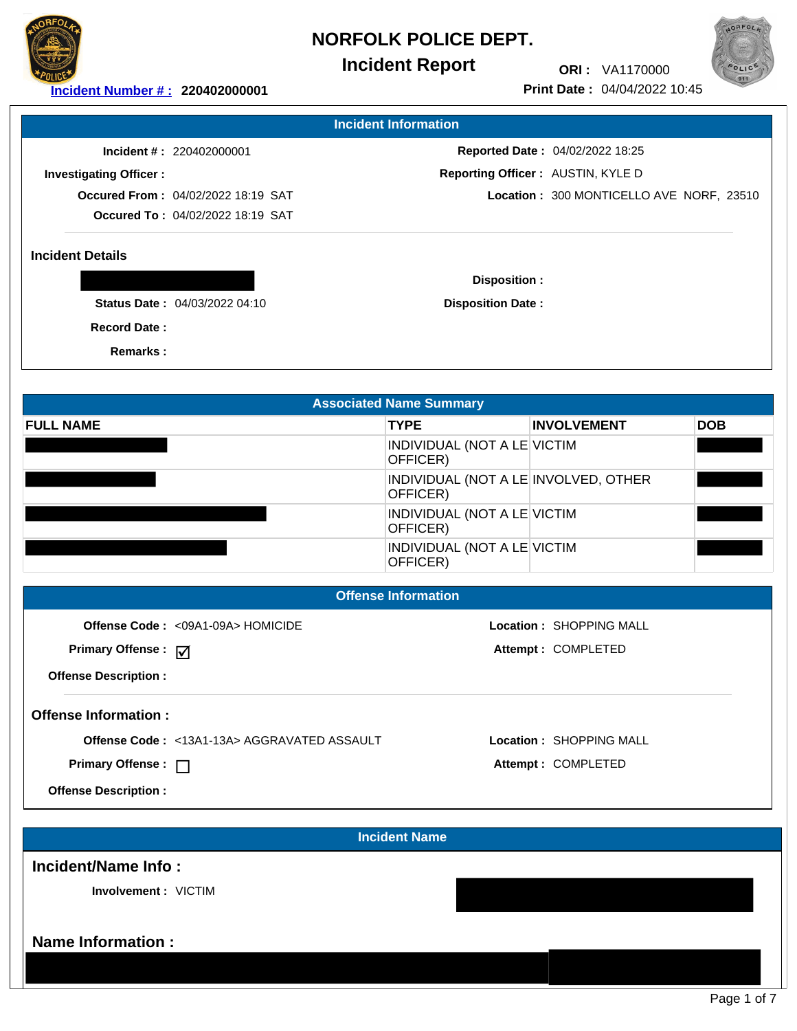**Incident Report ORI :** VA1170000



**Incident Number # : 220402000001 Print Date :** 04/04/2022 10:45

**Incident Information**

**Incident # :** 220402000001

### **Investigating Officer :**

**Occured From :** 04/02/2022 18:19 SAT **Location :** 300 MONTICELLO AVE NORF, 23510 **Occured To :** 04/02/2022 18:19 SAT

### **Incident Details**

**Status Date: 04/03/2022 04:10** 

**Disposition :**

**Reporting Officer :** AUSTIN, KYLE D **Reported Date :** 04/02/2022 18:25

**Disposition Date:** 

**Record Date :**

**Remarks :**

|                             |                                                                        | <b>Associated Name Summary</b>                   |                     |             |
|-----------------------------|------------------------------------------------------------------------|--------------------------------------------------|---------------------|-------------|
| <b>FULL NAME</b>            |                                                                        | <b>TYPE</b>                                      | <b>INVOLVEMENT</b>  | <b>DOB</b>  |
|                             |                                                                        | INDIVIDUAL (NOT A LE VICTIM<br>OFFICER)          |                     |             |
|                             |                                                                        | INDIVIDUAL (NOT A LE INVOLVED, OTHER<br>OFFICER) |                     |             |
|                             |                                                                        | <b>INDIVIDUAL (NOT A LE VICTIM</b><br>OFFICER)   |                     |             |
|                             |                                                                        | <b>INDIVIDUAL (NOT A LE VICTIM</b><br>OFFICER)   |                     |             |
|                             |                                                                        | <b>Offense Information</b>                       |                     |             |
|                             | Offense Code: <09A1-09A> HOMICIDE<br>Location : SHOPPING MALL          |                                                  |                     |             |
| Primary Offense : √         | Attempt : COMPLETED                                                    |                                                  |                     |             |
| <b>Offense Description:</b> |                                                                        |                                                  |                     |             |
| <b>Offense Information:</b> |                                                                        |                                                  |                     |             |
|                             | Offense Code: <13A1-13A> AGGRAVATED ASSAULT<br>Location: SHOPPING MALL |                                                  |                     |             |
| Primary Offense : []        |                                                                        |                                                  | Attempt : COMPLETED |             |
| <b>Offense Description:</b> |                                                                        |                                                  |                     |             |
|                             |                                                                        | <b>Incident Name</b>                             |                     |             |
| Incident/Name Info:         |                                                                        |                                                  |                     |             |
| Involvement: VICTIM         |                                                                        |                                                  |                     |             |
|                             |                                                                        |                                                  |                     |             |
| <b>Name Information:</b>    |                                                                        |                                                  |                     |             |
|                             |                                                                        |                                                  |                     |             |
|                             |                                                                        |                                                  |                     | Page 1 of 7 |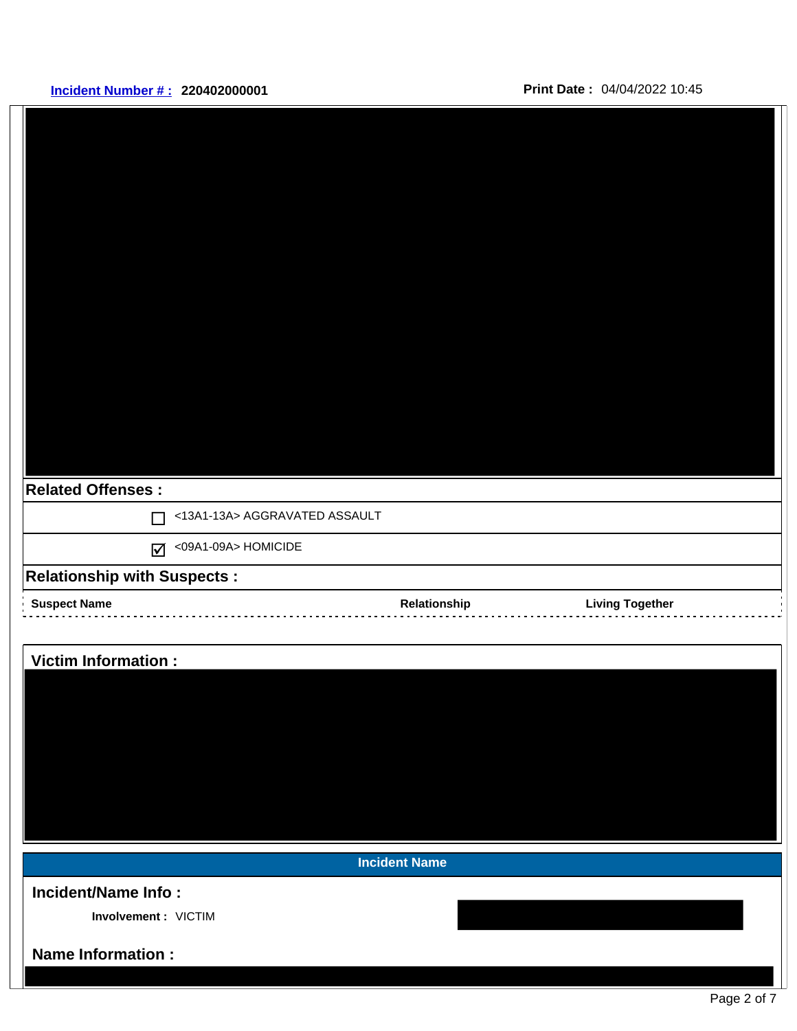## **Incident Number # : 220402000001 Print Date :** 04/04/2022 10:45

 $\blacksquare$ 

| <b>Related Offenses:</b>           |                      |                        |
|------------------------------------|----------------------|------------------------|
| <13A1-13A> AGGRAVATED ASSAULT<br>г |                      |                        |
| $\sqrt{ }$ <09A1-09A> HOMICIDE     |                      |                        |
| <b>Relationship with Suspects:</b> |                      |                        |
| <b>Suspect Name</b>                | Relationship         | <b>Living Together</b> |
|                                    |                      |                        |
| <b>Victim Information:</b>         |                      |                        |
|                                    |                      |                        |
|                                    |                      |                        |
|                                    |                      |                        |
|                                    |                      |                        |
|                                    |                      |                        |
|                                    |                      |                        |
|                                    | <b>Incident Name</b> |                        |
| Incident/Name Info:                |                      |                        |
| Involvement : VICTIM               |                      |                        |
|                                    |                      |                        |
| <b>Name Information:</b>           |                      |                        |
|                                    |                      | Page 2 of 7            |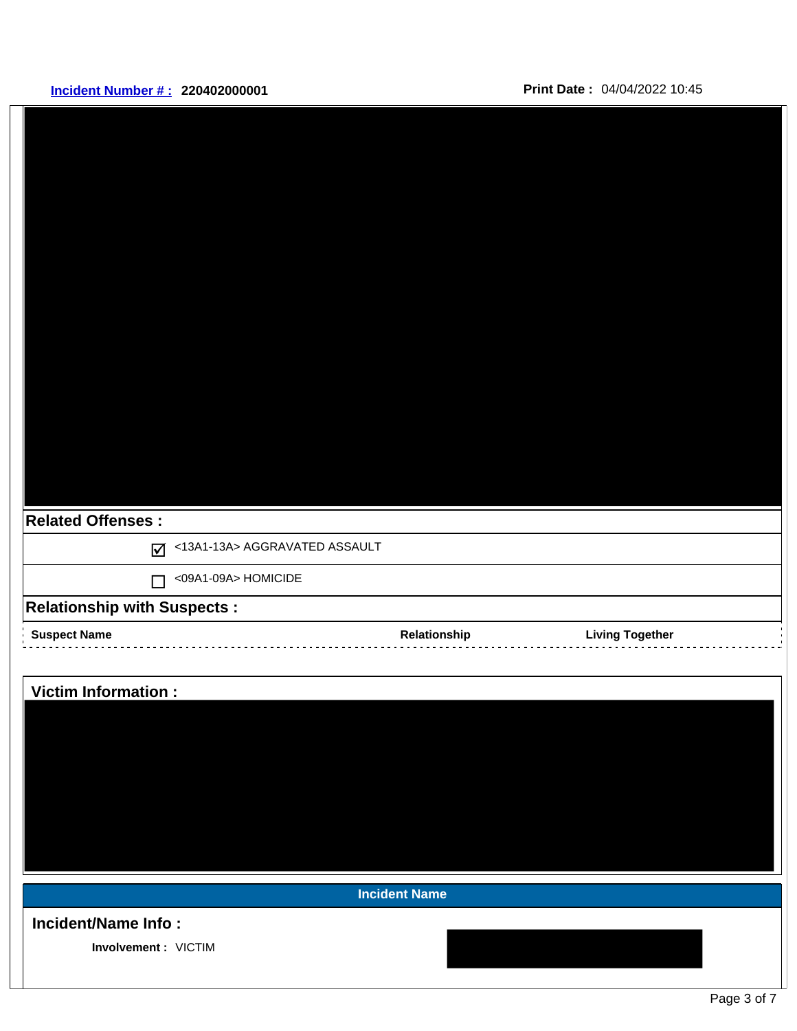# **Incident Number # : 220402000001 Print Date :** 04/04/2022 10:45

| <b>Related Offenses:</b>           |                      |                             |  |
|------------------------------------|----------------------|-----------------------------|--|
| <13A1-13A> AGGRAVATED ASSAULT<br>☑ |                      |                             |  |
| <09A1-09A> HOMICIDE<br>$\Box$      |                      |                             |  |
| <b>Relationship with Suspects:</b> |                      |                             |  |
| <b>Suspect Name</b>                | Relationship         | <b>Living Together</b><br>. |  |
|                                    |                      |                             |  |
| <b>Victim Information:</b>         |                      |                             |  |
|                                    |                      |                             |  |
|                                    |                      |                             |  |
|                                    |                      |                             |  |
|                                    |                      |                             |  |
|                                    |                      |                             |  |
|                                    |                      |                             |  |
|                                    |                      |                             |  |
|                                    | <b>Incident Name</b> |                             |  |
| Incident/Name Info:                |                      |                             |  |
| Involvement : VICTIM               |                      |                             |  |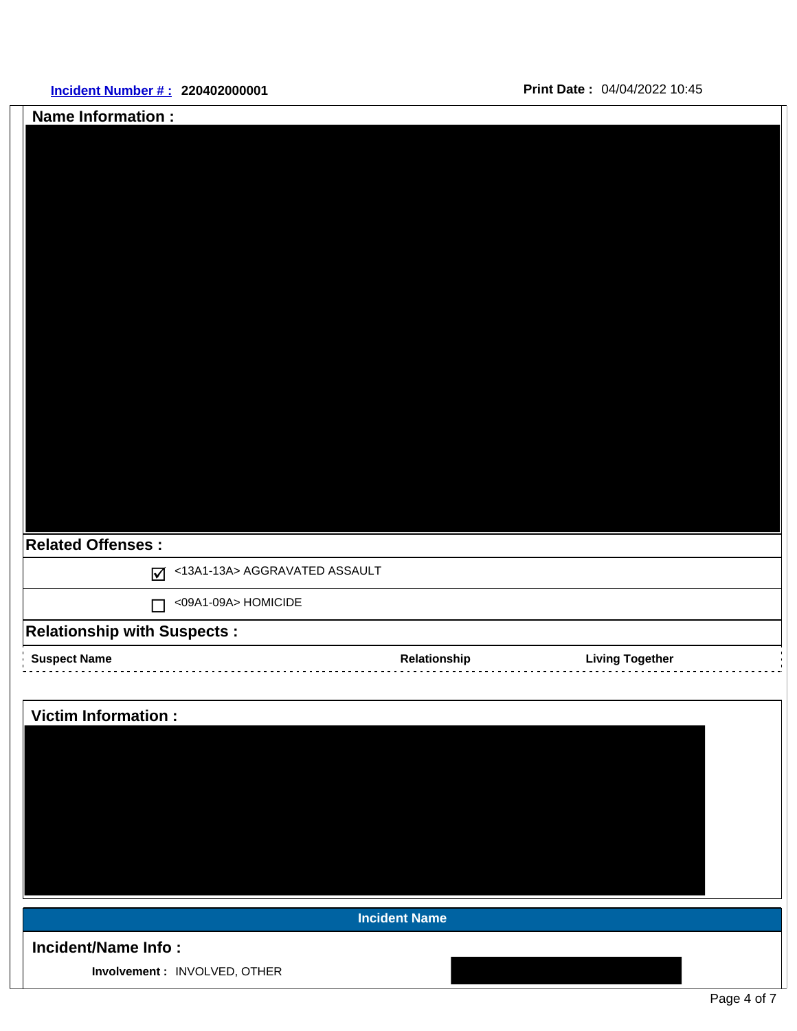| <b>Name Information:</b>                                      |
|---------------------------------------------------------------|
|                                                               |
|                                                               |
|                                                               |
|                                                               |
|                                                               |
|                                                               |
|                                                               |
|                                                               |
|                                                               |
|                                                               |
|                                                               |
| <b>Related Offenses:</b><br><13A1-13A> AGGRAVATED ASSAULT     |
| $\Delta$<br><09A1-09A> HOMICIDE                               |
| $\Box$<br><b>Relationship with Suspects:</b>                  |
| <b>Suspect Name</b><br>Relationship<br><b>Living Together</b> |
|                                                               |
| <b>Victim Information:</b>                                    |
|                                                               |
|                                                               |
|                                                               |
|                                                               |
|                                                               |
| <b>Incident Name</b>                                          |
| <b>Incident/Name Info:</b>                                    |
| Involvement : INVOLVED, OTHER                                 |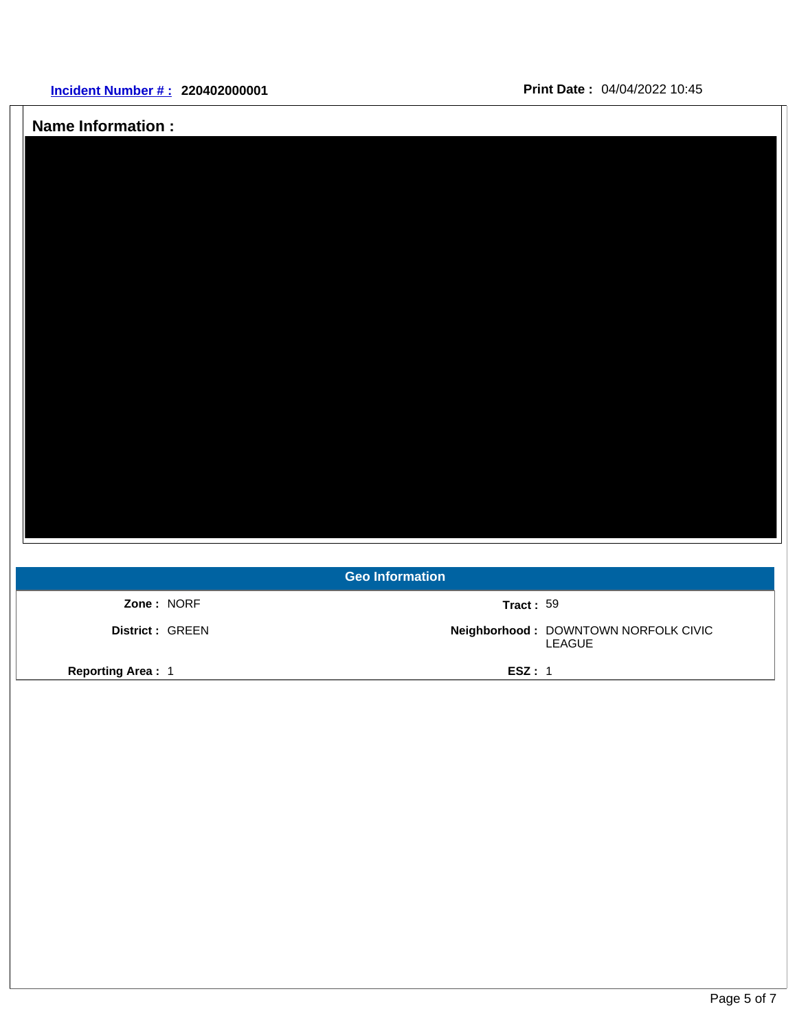| <b>Name Information:</b> |
|--------------------------|
|                          |
|                          |
|                          |
|                          |
|                          |
|                          |
|                          |
|                          |
|                          |
|                          |
|                          |
|                          |
|                          |
| <b>Geo Information</b>   |

| Zone: NORF               | Tract: $59$                                    |
|--------------------------|------------------------------------------------|
| <b>District: GREEN</b>   | Neighborhood: DOWNTOWN NORFOLK CIVIC<br>LEAGUE |
| <b>Reporting Area: 1</b> | ESZ: 1                                         |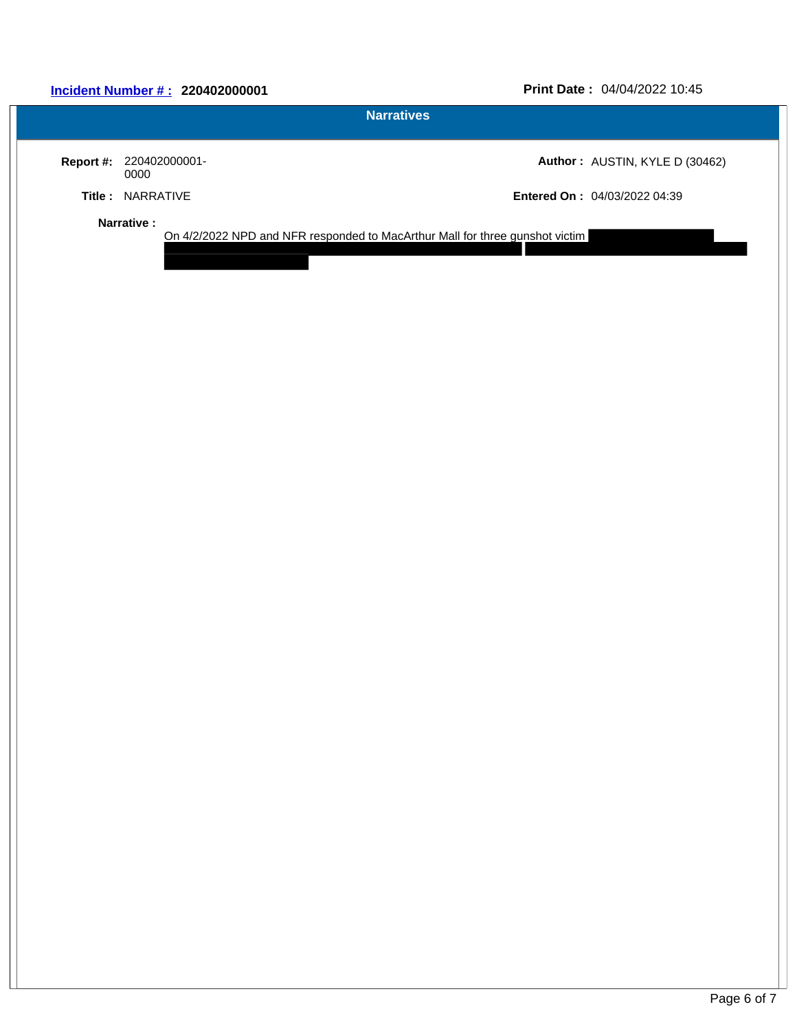# **Incident Number # : 220402000001 Print Date :** 04/04/2022 10:45

|                  |                       | <b>Narratives</b>                                                            |                                     |
|------------------|-----------------------|------------------------------------------------------------------------------|-------------------------------------|
| <b>Report #:</b> | 220402000001-<br>0000 |                                                                              | Author: AUSTIN, KYLE D (30462)      |
| Title :          | NARRATIVE             |                                                                              | <b>Entered On: 04/03/2022 04:39</b> |
|                  | Narrative:            | On 4/2/2022 NPD and NFR responded to MacArthur Mall for three gunshot victim |                                     |